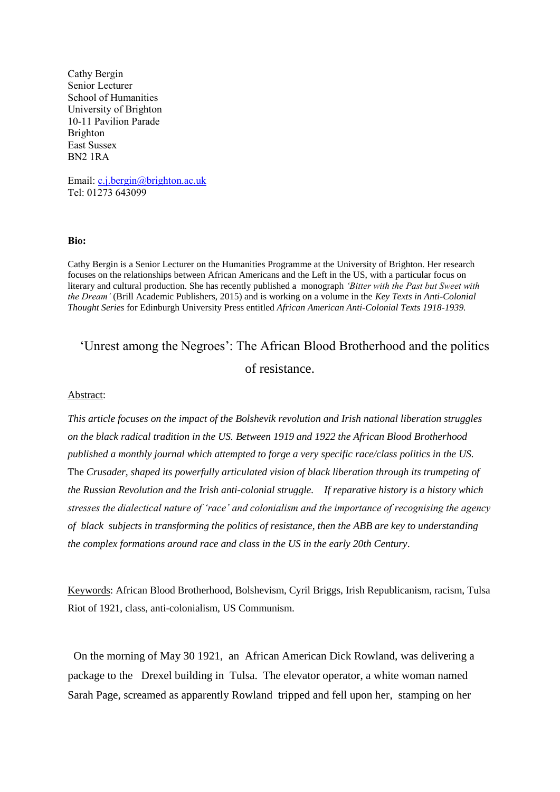Cathy Bergin Senior Lecturer School of Humanities University of Brighton 10-11 Pavilion Parade Brighton East Sussex BN2 1RA

Email: [c.j.bergin@brighton.ac.uk](mailto:c.j.bergin@brighton.ac.uk) Tel: 01273 643099

## **Bio:**

Cathy Bergin is a Senior Lecturer on the Humanities Programme at the University of Brighton. Her research focuses on the relationships between African Americans and the Left in the US, with a particular focus on literary and cultural production. She has recently published a monograph *'Bitter with the Past but Sweet with the Dream'* (Brill Academic Publishers, 2015) and is working on a volume in the *Key Texts in Anti-Colonial Thought Series* for Edinburgh University Press entitled *African American Anti-Colonial Texts 1918-1939.*

## 'Unrest among the Negroes': The African Blood Brotherhood and the politics of resistance.

## Abstract:

*This article focuses on the impact of the Bolshevik revolution and Irish national liberation struggles on the black radical tradition in the US. Between 1919 and 1922 the African Blood Brotherhood published a monthly journal which attempted to forge a very specific race/class politics in the US.*  The *Crusader, shaped its powerfully articulated vision of black liberation through its trumpeting of the Russian Revolution and the Irish anti-colonial struggle. If reparative history is a history which stresses the dialectical nature of 'race' and colonialism and the importance of recognising the agency of black subjects in transforming the politics of resistance, then the ABB are key to understanding the complex formations around race and class in the US in the early 20th Century*.

Keywords: African Blood Brotherhood, Bolshevism, Cyril Briggs, Irish Republicanism, racism, Tulsa Riot of 1921, class, anti-colonialism, US Communism.

 On the morning of May 30 1921, an African American Dick Rowland, was delivering a package to the Drexel building in Tulsa. The elevator operator, a white woman named Sarah Page, screamed as apparently Rowland tripped and fell upon her, stamping on her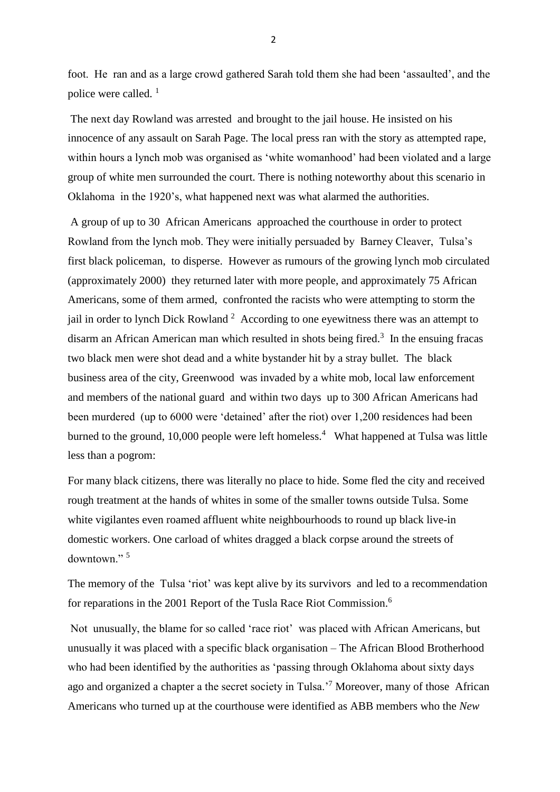foot. He ran and as a large crowd gathered Sarah told them she had been 'assaulted', and the police were called. <sup>1</sup>

The next day Rowland was arrested and brought to the jail house. He insisted on his innocence of any assault on Sarah Page. The local press ran with the story as attempted rape, within hours a lynch mob was organised as 'white womanhood' had been violated and a large group of white men surrounded the court. There is nothing noteworthy about this scenario in Oklahoma in the 1920's, what happened next was what alarmed the authorities.

A group of up to 30 African Americans approached the courthouse in order to protect Rowland from the lynch mob. They were initially persuaded by Barney Cleaver, Tulsa's first black policeman, to disperse. However as rumours of the growing lynch mob circulated (approximately 2000) they returned later with more people, and approximately 75 African Americans, some of them armed, confronted the racists who were attempting to storm the jail in order to lynch Dick Rowland  $2$  According to one eyewitness there was an attempt to disarm an African American man which resulted in shots being fired. $3$  In the ensuing fracas two black men were shot dead and a white bystander hit by a stray bullet. The black business area of the city, Greenwood was invaded by a white mob, local law enforcement and members of the national guard and within two days up to 300 African Americans had been murdered (up to 6000 were 'detained' after the riot) over 1,200 residences had been burned to the ground, 10,000 people were left homeless.<sup>4</sup> What happened at Tulsa was little less than a pogrom:

For many black citizens, there was literally no place to hide. Some fled the city and received rough treatment at the hands of whites in some of the smaller towns outside Tulsa. Some white vigilantes even roamed affluent white neighbourhoods to round up black live-in domestic workers. One carload of whites dragged a black corpse around the streets of downtown." <sup>5</sup>

The memory of the Tulsa 'riot' was kept alive by its survivors and led to a recommendation for reparations in the 2001 Report of the Tusla Race Riot Commission.<sup>6</sup>

Not unusually, the blame for so called 'race riot' was placed with African Americans, but unusually it was placed with a specific black organisation – The African Blood Brotherhood who had been identified by the authorities as 'passing through Oklahoma about sixty days ago and organized a chapter a the secret society in Tulsa.'<sup>7</sup> Moreover, many of those African Americans who turned up at the courthouse were identified as ABB members who the *New*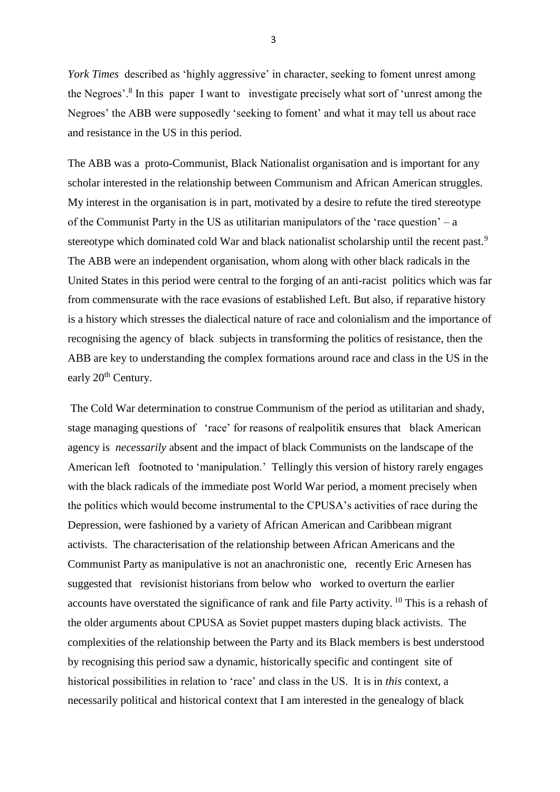*York Times* described as 'highly aggressive' in character, seeking to foment unrest among the Negroes'.<sup>8</sup> In this paper I want to investigate precisely what sort of 'unrest among the Negroes' the ABB were supposedly 'seeking to foment' and what it may tell us about race and resistance in the US in this period.

The ABB was a proto-Communist, Black Nationalist organisation and is important for any scholar interested in the relationship between Communism and African American struggles. My interest in the organisation is in part, motivated by a desire to refute the tired stereotype of the Communist Party in the US as utilitarian manipulators of the 'race question' – a stereotype which dominated cold War and black nationalist scholarship until the recent past.<sup>9</sup> The ABB were an independent organisation, whom along with other black radicals in the United States in this period were central to the forging of an anti-racist politics which was far from commensurate with the race evasions of established Left. But also, if reparative history is a history which stresses the dialectical nature of race and colonialism and the importance of recognising the agency of black subjects in transforming the politics of resistance, then the ABB are key to understanding the complex formations around race and class in the US in the early 20<sup>th</sup> Century.

The Cold War determination to construe Communism of the period as utilitarian and shady, stage managing questions of 'race' for reasons of realpolitik ensures that black American agency is *necessarily* absent and the impact of black Communists on the landscape of the American left footnoted to 'manipulation.' Tellingly this version of history rarely engages with the black radicals of the immediate post World War period, a moment precisely when the politics which would become instrumental to the CPUSA's activities of race during the Depression, were fashioned by a variety of African American and Caribbean migrant activists. The characterisation of the relationship between African Americans and the Communist Party as manipulative is not an anachronistic one, recently Eric Arnesen has suggested that revisionist historians from below who worked to overturn the earlier accounts have overstated the significance of rank and file Party activity. <sup>10</sup> This is a rehash of the older arguments about CPUSA as Soviet puppet masters duping black activists. The complexities of the relationship between the Party and its Black members is best understood by recognising this period saw a dynamic, historically specific and contingent site of historical possibilities in relation to 'race' and class in the US. It is in *this* context, a necessarily political and historical context that I am interested in the genealogy of black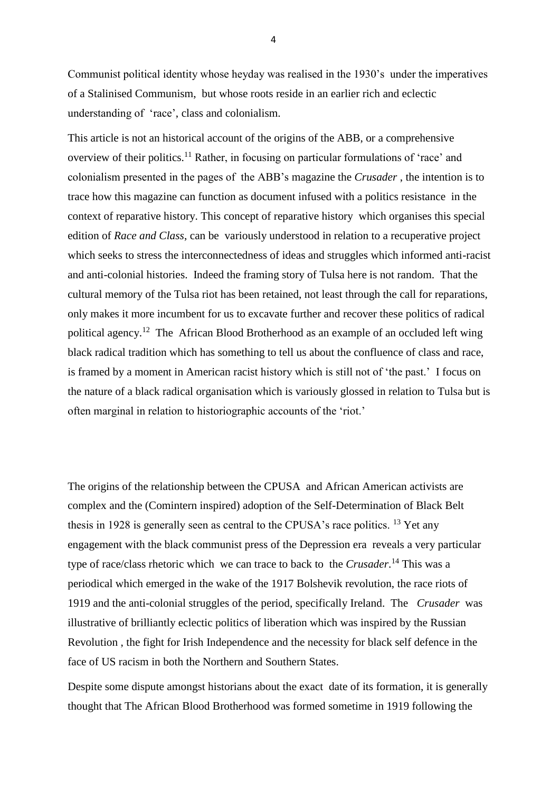Communist political identity whose heyday was realised in the 1930's under the imperatives of a Stalinised Communism, but whose roots reside in an earlier rich and eclectic understanding of 'race', class and colonialism.

This article is not an historical account of the origins of the ABB, or a comprehensive overview of their politics.<sup>11</sup> Rather, in focusing on particular formulations of 'race' and colonialism presented in the pages of the ABB's magazine the *Crusader* , the intention is to trace how this magazine can function as document infused with a politics resistance in the context of reparative history. This concept of reparative history which organises this special edition of *Race and Class*, can be variously understood in relation to a recuperative project which seeks to stress the interconnectedness of ideas and struggles which informed anti-racist and anti-colonial histories. Indeed the framing story of Tulsa here is not random. That the cultural memory of the Tulsa riot has been retained, not least through the call for reparations, only makes it more incumbent for us to excavate further and recover these politics of radical political agency.<sup>12</sup> The African Blood Brotherhood as an example of an occluded left wing black radical tradition which has something to tell us about the confluence of class and race, is framed by a moment in American racist history which is still not of 'the past.' I focus on the nature of a black radical organisation which is variously glossed in relation to Tulsa but is often marginal in relation to historiographic accounts of the 'riot.'

The origins of the relationship between the CPUSA and African American activists are complex and the (Comintern inspired) adoption of the Self-Determination of Black Belt thesis in 1928 is generally seen as central to the CPUSA's race politics. <sup>13</sup> Yet any engagement with the black communist press of the Depression era reveals a very particular type of race/class rhetoric which we can trace to back to the *Crusader*. <sup>14</sup> This was a periodical which emerged in the wake of the 1917 Bolshevik revolution, the race riots of 1919 and the anti-colonial struggles of the period, specifically Ireland. The *Crusader* was illustrative of brilliantly eclectic politics of liberation which was inspired by the Russian Revolution , the fight for Irish Independence and the necessity for black self defence in the face of US racism in both the Northern and Southern States.

Despite some dispute amongst historians about the exact date of its formation, it is generally thought that The African Blood Brotherhood was formed sometime in 1919 following the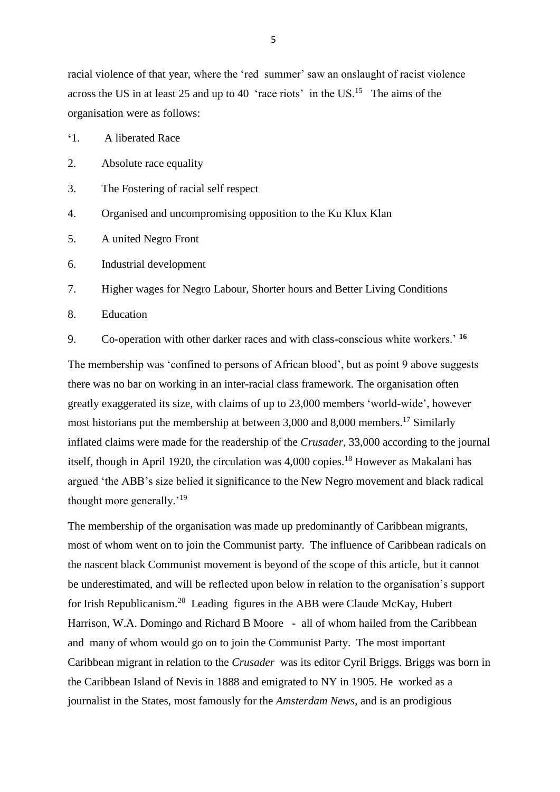racial violence of that year, where the 'red summer' saw an onslaught of racist violence across the US in at least 25 and up to 40 'race riots' in the US.<sup>15</sup> The aims of the organisation were as follows:

- **'**1. A liberated Race
- 2. Absolute race equality
- 3. The Fostering of racial self respect
- 4. Organised and uncompromising opposition to the Ku Klux Klan
- 5. A united Negro Front
- 6. Industrial development
- 7. Higher wages for Negro Labour, Shorter hours and Better Living Conditions
- 8. Education
- 9. Co-operation with other darker races and with class-conscious white workers.' **<sup>16</sup>**

The membership was 'confined to persons of African blood', but as point 9 above suggests there was no bar on working in an inter-racial class framework. The organisation often greatly exaggerated its size, with claims of up to 23,000 members 'world-wide', however most historians put the membership at between 3,000 and 8,000 members.<sup>17</sup> Similarly inflated claims were made for the readership of the *Crusader*, 33,000 according to the journal itself, though in April 1920, the circulation was 4,000 copies.<sup>18</sup> However as Makalani has argued 'the ABB's size belied it significance to the New Negro movement and black radical thought more generally.'<sup>19</sup>

The membership of the organisation was made up predominantly of Caribbean migrants, most of whom went on to join the Communist party. The influence of Caribbean radicals on the nascent black Communist movement is beyond of the scope of this article, but it cannot be underestimated, and will be reflected upon below in relation to the organisation's support for Irish Republicanism.<sup>20</sup> Leading figures in the ABB were Claude McKay, Hubert Harrison, W.A. Domingo and Richard B Moore - all of whom hailed from the Caribbean and many of whom would go on to join the Communist Party. The most important Caribbean migrant in relation to the *Crusader* was its editor Cyril Briggs. Briggs was born in the Caribbean Island of Nevis in 1888 and emigrated to NY in 1905. He worked as a journalist in the States, most famously for the *Amsterdam News*, and is an prodigious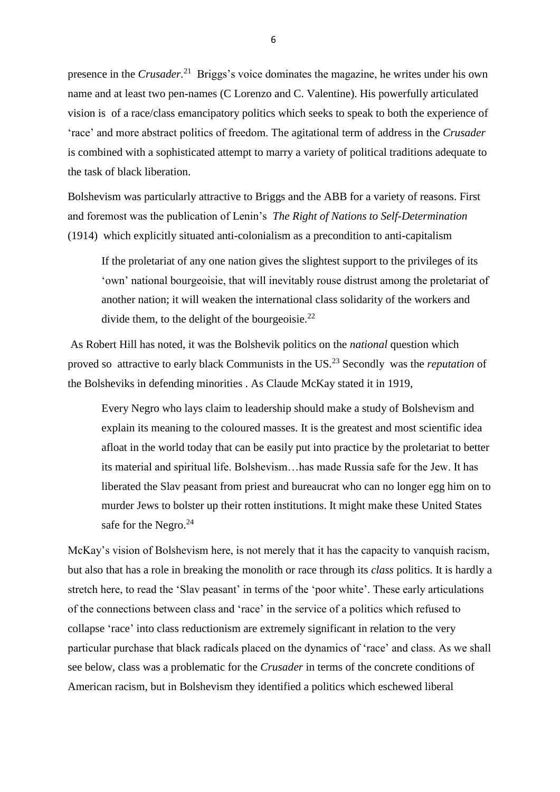presence in the *Crusader*.<sup>21</sup> Briggs's voice dominates the magazine, he writes under his own name and at least two pen-names (C Lorenzo and C. Valentine). His powerfully articulated vision is of a race/class emancipatory politics which seeks to speak to both the experience of 'race' and more abstract politics of freedom. The agitational term of address in the *Crusader* is combined with a sophisticated attempt to marry a variety of political traditions adequate to the task of black liberation.

Bolshevism was particularly attractive to Briggs and the ABB for a variety of reasons. First and foremost was the publication of Lenin's *The Right of Nations to Self-Determination* (1914) which explicitly situated anti-colonialism as a precondition to anti-capitalism

If the proletariat of any one nation gives the slightest support to the privileges of its 'own' national bourgeoisie, that will inevitably rouse distrust among the proletariat of another nation; it will weaken the international class solidarity of the workers and divide them, to the delight of the bourgeoisie.<sup>22</sup>

As Robert Hill has noted, it was the Bolshevik politics on the *national* question which proved so attractive to early black Communists in the US.<sup>23</sup> Secondly was the *reputation* of the Bolsheviks in defending minorities . As Claude McKay stated it in 1919,

Every Negro who lays claim to leadership should make a study of Bolshevism and explain its meaning to the coloured masses. It is the greatest and most scientific idea afloat in the world today that can be easily put into practice by the proletariat to better its material and spiritual life. Bolshevism…has made Russia safe for the Jew. It has liberated the Slav peasant from priest and bureaucrat who can no longer egg him on to murder Jews to bolster up their rotten institutions. It might make these United States safe for the Negro.<sup>24</sup>

McKay's vision of Bolshevism here, is not merely that it has the capacity to vanquish racism, but also that has a role in breaking the monolith or race through its *class* politics. It is hardly a stretch here, to read the 'Slav peasant' in terms of the 'poor white'. These early articulations of the connections between class and 'race' in the service of a politics which refused to collapse 'race' into class reductionism are extremely significant in relation to the very particular purchase that black radicals placed on the dynamics of 'race' and class. As we shall see below, class was a problematic for the *Crusader* in terms of the concrete conditions of American racism, but in Bolshevism they identified a politics which eschewed liberal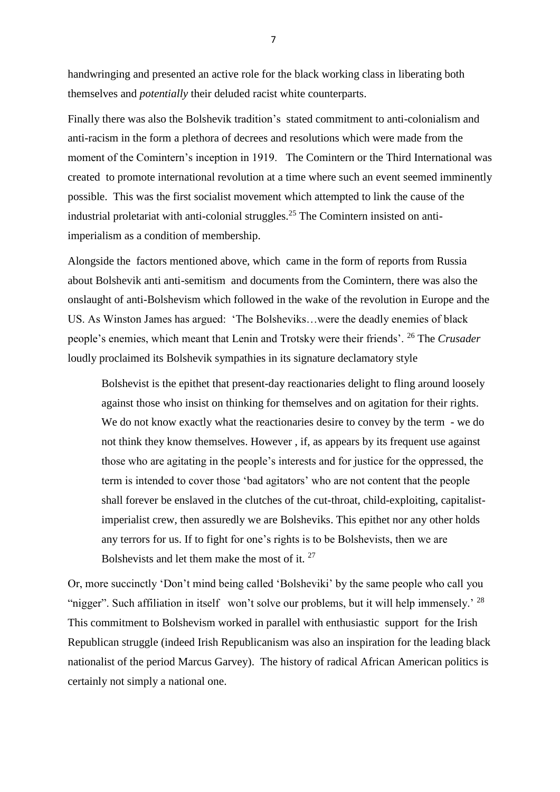handwringing and presented an active role for the black working class in liberating both themselves and *potentially* their deluded racist white counterparts.

Finally there was also the Bolshevik tradition's stated commitment to anti-colonialism and anti-racism in the form a plethora of decrees and resolutions which were made from the moment of the Comintern's inception in 1919. The Comintern or the Third International was created to promote international revolution at a time where such an event seemed imminently possible. This was the first socialist movement which attempted to link the cause of the industrial proletariat with anti-colonial struggles.<sup>25</sup> The Comintern insisted on antiimperialism as a condition of membership.

Alongside the factors mentioned above, which came in the form of reports from Russia about Bolshevik anti anti-semitism and documents from the Comintern, there was also the onslaught of anti-Bolshevism which followed in the wake of the revolution in Europe and the US. As Winston James has argued: 'The Bolsheviks…were the deadly enemies of black people's enemies, which meant that Lenin and Trotsky were their friends'. <sup>26</sup> The *Crusader* loudly proclaimed its Bolshevik sympathies in its signature declamatory style

Bolshevist is the epithet that present-day reactionaries delight to fling around loosely against those who insist on thinking for themselves and on agitation for their rights. We do not know exactly what the reactionaries desire to convey by the term - we do not think they know themselves. However , if, as appears by its frequent use against those who are agitating in the people's interests and for justice for the oppressed, the term is intended to cover those 'bad agitators' who are not content that the people shall forever be enslaved in the clutches of the cut-throat, child-exploiting, capitalistimperialist crew, then assuredly we are Bolsheviks. This epithet nor any other holds any terrors for us. If to fight for one's rights is to be Bolshevists, then we are Bolshevists and let them make the most of it. <sup>27</sup>

Or, more succinctly 'Don't mind being called 'Bolsheviki' by the same people who call you "nigger". Such affiliation in itself won't solve our problems, but it will help immensely.<sup>28</sup> This commitment to Bolshevism worked in parallel with enthusiastic support for the Irish Republican struggle (indeed Irish Republicanism was also an inspiration for the leading black nationalist of the period Marcus Garvey). The history of radical African American politics is certainly not simply a national one.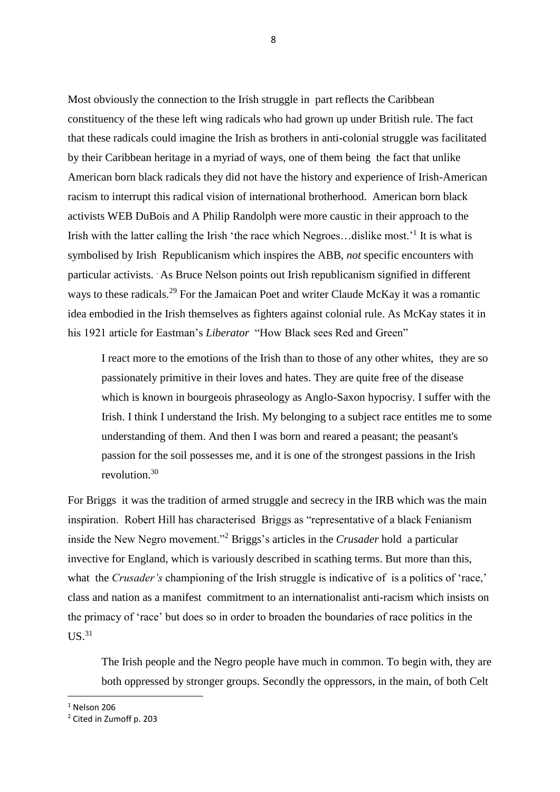Most obviously the connection to the Irish struggle in part reflects the Caribbean constituency of the these left wing radicals who had grown up under British rule. The fact that these radicals could imagine the Irish as brothers in anti-colonial struggle was facilitated by their Caribbean heritage in a myriad of ways, one of them being the fact that unlike American born black radicals they did not have the history and experience of Irish-American racism to interrupt this radical vision of international brotherhood. American born black activists WEB DuBois and A Philip Randolph were more caustic in their approach to the Irish with the latter calling the Irish 'the race which Negroes...dislike most.<sup>1</sup> It is what is symbolised by Irish Republicanism which inspires the ABB, *not* specific encounters with particular activists. . As Bruce Nelson points out Irish republicanism signified in different ways to these radicals.<sup>29</sup> For the Jamaican Poet and writer Claude McKay it was a romantic idea embodied in the Irish themselves as fighters against colonial rule. As McKay states it in his 1921 article for Eastman's *Liberator* "How Black sees Red and Green"

I react more to the emotions of the Irish than to those of any other whites, they are so passionately primitive in their loves and hates. They are quite free of the disease which is known in bourgeois phraseology as Anglo-Saxon hypocrisy. I suffer with the Irish. I think I understand the Irish. My belonging to a subject race entitles me to some understanding of them. And then I was born and reared a peasant; the peasant's passion for the soil possesses me, and it is one of the strongest passions in the Irish revolution.<sup>30</sup>

For Briggs it was the tradition of armed struggle and secrecy in the IRB which was the main inspiration. Robert Hill has characterised Briggs as "representative of a black Fenianism inside the New Negro movement."<sup>2</sup> Briggs's articles in the *Crusader* hold a particular invective for England, which is variously described in scathing terms. But more than this, what the *Crusader's* championing of the Irish struggle is indicative of is a politics of 'race,' class and nation as a manifest commitment to an internationalist anti-racism which insists on the primacy of 'race' but does so in order to broaden the boundaries of race politics in the  $US.^{31}$ 

The Irish people and the Negro people have much in common. To begin with, they are both oppressed by stronger groups. Secondly the oppressors, in the main, of both Celt

1

 $1$  Nelson 206

<sup>2</sup> Cited in Zumoff p. 203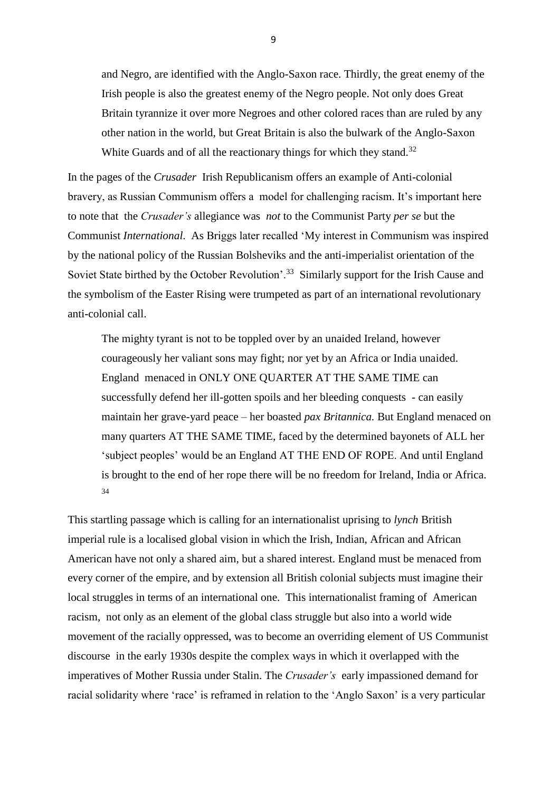and Negro, are identified with the Anglo-Saxon race. Thirdly, the great enemy of the Irish people is also the greatest enemy of the Negro people. Not only does Great Britain tyrannize it over more Negroes and other colored races than are ruled by any other nation in the world, but Great Britain is also the bulwark of the Anglo-Saxon White Guards and of all the reactionary things for which they stand.<sup>32</sup>

In the pages of the *Crusader* Irish Republicanism offers an example of Anti-colonial bravery, as Russian Communism offers a model for challenging racism. It's important here to note that the *Crusader's* allegiance was *not* to the Communist Party *per se* but the Communist *International*. As Briggs later recalled 'My interest in Communism was inspired by the national policy of the Russian Bolsheviks and the anti-imperialist orientation of the Soviet State birthed by the October Revolution'.<sup>33</sup> Similarly support for the Irish Cause and the symbolism of the Easter Rising were trumpeted as part of an international revolutionary anti-colonial call.

The mighty tyrant is not to be toppled over by an unaided Ireland, however courageously her valiant sons may fight; nor yet by an Africa or India unaided. England menaced in ONLY ONE QUARTER AT THE SAME TIME can successfully defend her ill-gotten spoils and her bleeding conquests - can easily maintain her grave-yard peace – her boasted *pax Britannica.* But England menaced on many quarters AT THE SAME TIME, faced by the determined bayonets of ALL her 'subject peoples' would be an England AT THE END OF ROPE. And until England is brought to the end of her rope there will be no freedom for Ireland, India or Africa. 34

This startling passage which is calling for an internationalist uprising to *lynch* British imperial rule is a localised global vision in which the Irish, Indian, African and African American have not only a shared aim, but a shared interest. England must be menaced from every corner of the empire, and by extension all British colonial subjects must imagine their local struggles in terms of an international one. This internationalist framing of American racism, not only as an element of the global class struggle but also into a world wide movement of the racially oppressed, was to become an overriding element of US Communist discourse in the early 1930s despite the complex ways in which it overlapped with the imperatives of Mother Russia under Stalin. The *Crusader's* early impassioned demand for racial solidarity where 'race' is reframed in relation to the 'Anglo Saxon' is a very particular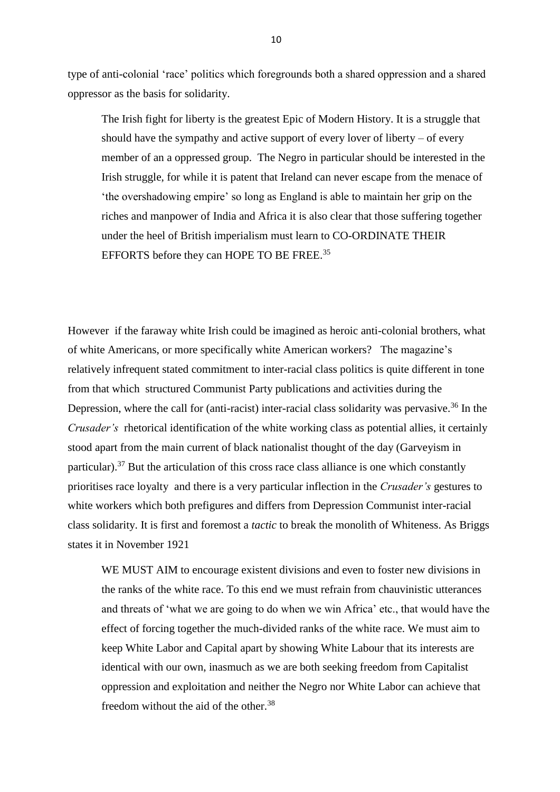type of anti-colonial 'race' politics which foregrounds both a shared oppression and a shared oppressor as the basis for solidarity.

The Irish fight for liberty is the greatest Epic of Modern History. It is a struggle that should have the sympathy and active support of every lover of liberty – of every member of an a oppressed group. The Negro in particular should be interested in the Irish struggle, for while it is patent that Ireland can never escape from the menace of 'the overshadowing empire' so long as England is able to maintain her grip on the riches and manpower of India and Africa it is also clear that those suffering together under the heel of British imperialism must learn to CO-ORDINATE THEIR EFFORTS before they can HOPE TO BE FREE.<sup>35</sup>

However if the faraway white Irish could be imagined as heroic anti-colonial brothers, what of white Americans, or more specifically white American workers? The magazine's relatively infrequent stated commitment to inter-racial class politics is quite different in tone from that which structured Communist Party publications and activities during the Depression, where the call for (anti-racist) inter-racial class solidarity was pervasive.<sup>36</sup> In the *Crusader's* rhetorical identification of the white working class as potential allies, it certainly stood apart from the main current of black nationalist thought of the day (Garveyism in particular).<sup>37</sup> But the articulation of this cross race class alliance is one which constantly prioritises race loyalty and there is a very particular inflection in the *Crusader's* gestures to white workers which both prefigures and differs from Depression Communist inter-racial class solidarity. It is first and foremost a *tactic* to break the monolith of Whiteness. As Briggs states it in November 1921

WE MUST AIM to encourage existent divisions and even to foster new divisions in the ranks of the white race. To this end we must refrain from chauvinistic utterances and threats of 'what we are going to do when we win Africa' etc., that would have the effect of forcing together the much-divided ranks of the white race. We must aim to keep White Labor and Capital apart by showing White Labour that its interests are identical with our own, inasmuch as we are both seeking freedom from Capitalist oppression and exploitation and neither the Negro nor White Labor can achieve that freedom without the aid of the other. $38$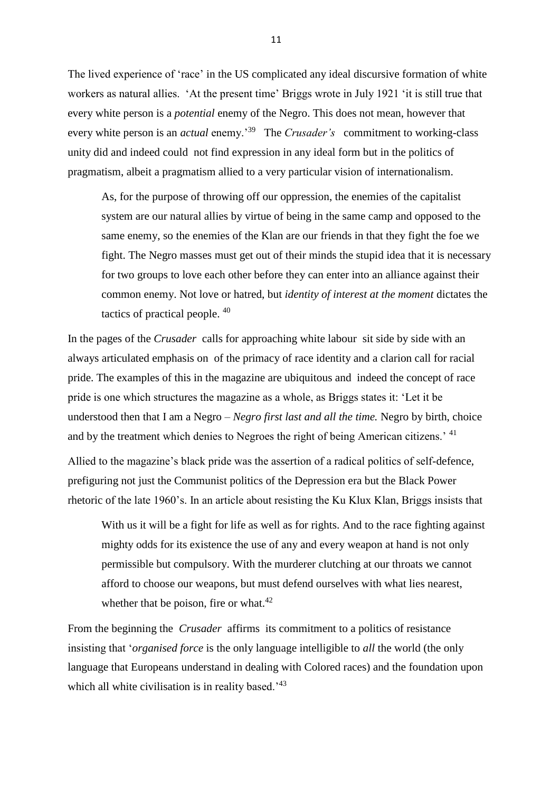The lived experience of 'race' in the US complicated any ideal discursive formation of white workers as natural allies. 'At the present time' Briggs wrote in July 1921 'it is still true that every white person is a *potential* enemy of the Negro. This does not mean, however that every white person is an *actual* enemy.<sup>39</sup> The *Crusader's* commitment to working-class unity did and indeed could not find expression in any ideal form but in the politics of pragmatism, albeit a pragmatism allied to a very particular vision of internationalism.

As, for the purpose of throwing off our oppression, the enemies of the capitalist system are our natural allies by virtue of being in the same camp and opposed to the same enemy, so the enemies of the Klan are our friends in that they fight the foe we fight. The Negro masses must get out of their minds the stupid idea that it is necessary for two groups to love each other before they can enter into an alliance against their common enemy. Not love or hatred, but *identity of interest at the moment* dictates the tactics of practical people. <sup>40</sup>

In the pages of the *Crusader* calls for approaching white labour sit side by side with an always articulated emphasis on of the primacy of race identity and a clarion call for racial pride. The examples of this in the magazine are ubiquitous and indeed the concept of race pride is one which structures the magazine as a whole, as Briggs states it: 'Let it be understood then that I am a Negro – *Negro first last and all the time.* Negro by birth, choice and by the treatment which denies to Negroes the right of being American citizens.' <sup>41</sup>

Allied to the magazine's black pride was the assertion of a radical politics of self-defence, prefiguring not just the Communist politics of the Depression era but the Black Power rhetoric of the late 1960's. In an article about resisting the Ku Klux Klan, Briggs insists that

With us it will be a fight for life as well as for rights. And to the race fighting against mighty odds for its existence the use of any and every weapon at hand is not only permissible but compulsory. With the murderer clutching at our throats we cannot afford to choose our weapons, but must defend ourselves with what lies nearest, whether that be poison, fire or what. $42$ 

From the beginning the *Crusader* affirms its commitment to a politics of resistance insisting that '*organised force* is the only language intelligible to *all* the world (the only language that Europeans understand in dealing with Colored races) and the foundation upon which all white civilisation is in reality based.<sup>'43</sup>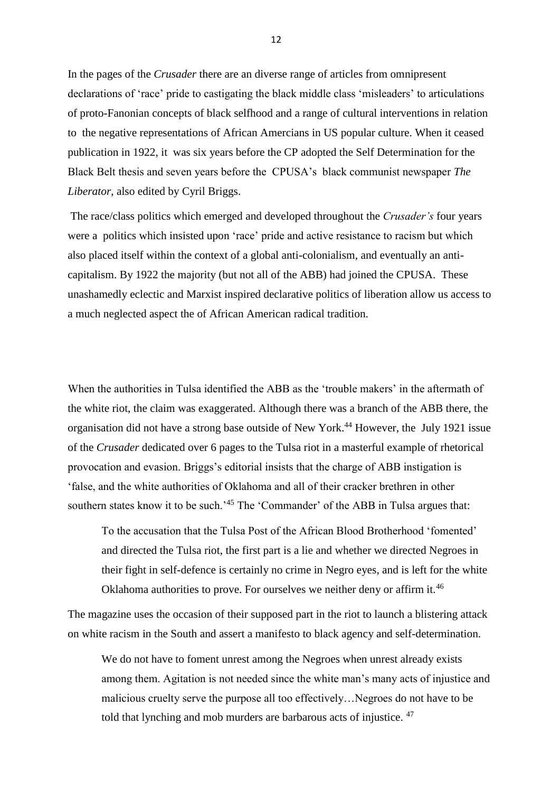In the pages of the *Crusader* there are an diverse range of articles from omnipresent declarations of 'race' pride to castigating the black middle class 'misleaders' to articulations of proto-Fanonian concepts of black selfhood and a range of cultural interventions in relation to the negative representations of African Amercians in US popular culture. When it ceased publication in 1922, it was six years before the CP adopted the Self Determination for the Black Belt thesis and seven years before the CPUSA's black communist newspaper *The Liberator*, also edited by Cyril Briggs.

The race/class politics which emerged and developed throughout the *Crusader's* four years were a politics which insisted upon 'race' pride and active resistance to racism but which also placed itself within the context of a global anti-colonialism, and eventually an anticapitalism. By 1922 the majority (but not all of the ABB) had joined the CPUSA. These unashamedly eclectic and Marxist inspired declarative politics of liberation allow us access to a much neglected aspect the of African American radical tradition.

When the authorities in Tulsa identified the ABB as the 'trouble makers' in the aftermath of the white riot, the claim was exaggerated. Although there was a branch of the ABB there, the organisation did not have a strong base outside of New York. <sup>44</sup> However, the July 1921 issue of the *Crusader* dedicated over 6 pages to the Tulsa riot in a masterful example of rhetorical provocation and evasion. Briggs's editorial insists that the charge of ABB instigation is 'false, and the white authorities of Oklahoma and all of their cracker brethren in other southern states know it to be such.<sup>45</sup> The 'Commander' of the ABB in Tulsa argues that:

To the accusation that the Tulsa Post of the African Blood Brotherhood 'fomented' and directed the Tulsa riot, the first part is a lie and whether we directed Negroes in their fight in self-defence is certainly no crime in Negro eyes, and is left for the white Oklahoma authorities to prove. For ourselves we neither deny or affirm it.<sup>46</sup>

The magazine uses the occasion of their supposed part in the riot to launch a blistering attack on white racism in the South and assert a manifesto to black agency and self-determination.

We do not have to foment unrest among the Negroes when unrest already exists among them. Agitation is not needed since the white man's many acts of injustice and malicious cruelty serve the purpose all too effectively…Negroes do not have to be told that lynching and mob murders are barbarous acts of injustice. <sup>47</sup>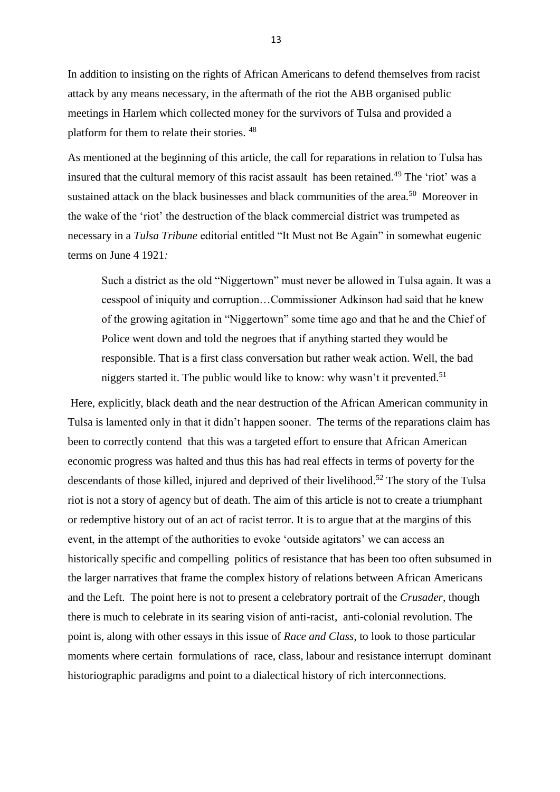In addition to insisting on the rights of African Americans to defend themselves from racist attack by any means necessary, in the aftermath of the riot the ABB organised public meetings in Harlem which collected money for the survivors of Tulsa and provided a platform for them to relate their stories. <sup>48</sup>

As mentioned at the beginning of this article, the call for reparations in relation to Tulsa has insured that the cultural memory of this racist assault has been retained.<sup>49</sup> The 'riot' was a sustained attack on the black businesses and black communities of the area.<sup>50</sup> Moreover in the wake of the 'riot' the destruction of the black commercial district was trumpeted as necessary in a *Tulsa Tribune* editorial entitled "It Must not Be Again" in somewhat eugenic terms on June 4 1921*:*

Such a district as the old "Niggertown" must never be allowed in Tulsa again. It was a cesspool of iniquity and corruption…Commissioner Adkinson had said that he knew of the growing agitation in "Niggertown" some time ago and that he and the Chief of Police went down and told the negroes that if anything started they would be responsible. That is a first class conversation but rather weak action. Well, the bad niggers started it. The public would like to know: why wasn't it prevented.<sup>51</sup>

Here, explicitly, black death and the near destruction of the African American community in Tulsa is lamented only in that it didn't happen sooner. The terms of the reparations claim has been to correctly contend that this was a targeted effort to ensure that African American economic progress was halted and thus this has had real effects in terms of poverty for the descendants of those killed, injured and deprived of their livelihood.<sup>52</sup> The story of the Tulsa riot is not a story of agency but of death. The aim of this article is not to create a triumphant or redemptive history out of an act of racist terror. It is to argue that at the margins of this event, in the attempt of the authorities to evoke 'outside agitators' we can access an historically specific and compelling politics of resistance that has been too often subsumed in the larger narratives that frame the complex history of relations between African Americans and the Left. The point here is not to present a celebratory portrait of the *Crusader*, though there is much to celebrate in its searing vision of anti-racist, anti-colonial revolution. The point is, along with other essays in this issue of *Race and Class*, to look to those particular moments where certain formulations of race, class, labour and resistance interrupt dominant historiographic paradigms and point to a dialectical history of rich interconnections.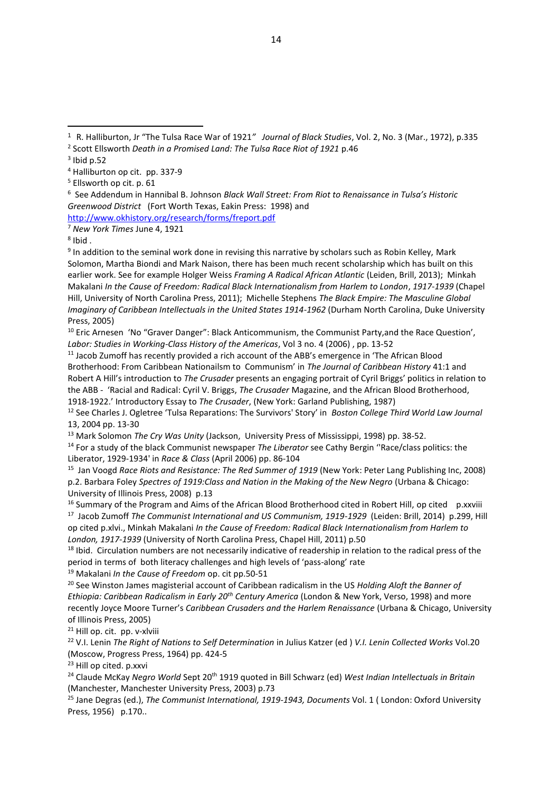**.** 

6 See Addendum in Hannibal B. Johnson *Black Wall Street: From Riot to Renaissance in Tulsa's Historic Greenwood District* (Fort Worth Texas, Eakin Press: 1998) and

<http://www.okhistory.org/research/forms/freport.pdf>

<sup>7</sup> *New York Times* June 4, 1921

 $8$  Ibid.

<sup>9</sup> In addition to the seminal work done in revising this narrative by scholars such as Robin Kelley, Mark Solomon, Martha Biondi and Mark Naison, there has been much recent scholarship which has built on this earlier work. See for example Holger Weiss *Framing A Radical African Atlantic* (Leiden, Brill, 2013); Minkah Makalani *In the Cause of Freedom: Radical Black Internationalism from Harlem to London*, *1917-1939* (Chapel Hill, University of North Carolina Press, 2011); Michelle Stephens *The Black Empire: The Masculine Global Imaginary of Caribbean Intellectuals in the United States 1914-1962* (Durham North Carolina, Duke University Press, 2005)

<sup>10</sup> Eric Arnesen 'No "Graver Danger": Black Anticommunism, the Communist Party, and the Race Question', *Labor: Studies in Working-Class History of the Americas*, Vol 3 no. 4 (2006) , pp. 13-52

<sup>11</sup> Jacob Zumoff has recently provided a rich account of the ABB's emergence in 'The African Blood Brotherhood: From Caribbean Nationailsm to Communism' in *The Journal of Caribbean History* 41:1 and Robert A Hill's introduction to *The Crusader* presents an engaging portrait of Cyril Briggs' politics in relation to the ABB - 'Racial and Radical: Cyril V. Briggs, *The Crusader* Magazine, and the African Blood Brotherhood, 1918-1922.' Introductory Essay to *The Crusader*, (New York: Garland Publishing, 1987)

<sup>12</sup> See Charles J. Ogletree 'Tulsa Reparations: The Survivors' Story' in *Boston College Third World Law Journal* 13, 2004 pp. 13-30

<sup>13</sup> Mark Solomon *The Cry Was Unity* (Jackson, University Press of Mississippi, 1998) pp. 38-52.

<sup>14</sup> For a study of the black Communist newspaper *The Liberator* see Cathy Bergin ''Race/class politics: the Liberator, 1929-1934' in *Race & Class* (April 2006) pp. 86-104

15 Jan Voogd *Race Riots and Resistance: The Red Summer of 1919* (New York: Peter Lang Publishing Inc, 2008) p.2. Barbara Foley *Spectres of 1919:Class and Nation in the Making of the New Negro* (Urbana & Chicago: University of Illinois Press, 2008) p.13

<sup>16</sup> Summary of the Program and Aims of the African Blood Brotherhood cited in Robert Hill, op cited p.xxviii 17 Jacob Zumoff *The Communist International and US Communism, 1919-1929* (Leiden: Brill, 2014) p.299, Hill op cited p.xlvi., Minkah Makalani *In the Cause of Freedom: Radical Black Internationalism from Harlem to London, 1917-1939* (University of North Carolina Press, Chapel Hill, 2011) p.50

<sup>18</sup> Ibid. Circulation numbers are not necessarily indicative of readership in relation to the radical press of the period in terms of both literacy challenges and high levels of 'pass-along' rate

<sup>19</sup> Makalani *In the Cause of Freedom* op. cit pp.50-51

<sup>20</sup> See Winston James magisterial account of Caribbean radicalism in the US *Holding Aloft the Banner of Ethiopia: Caribbean Radicalism in Early 20th Century America* (London & New York, Verso, 1998) and more recently Joyce Moore Turner's *Caribbean Crusaders and the Harlem Renaissance* (Urbana & Chicago, University of Illinois Press, 2005)

 $21$  Hill op. cit. pp. v-xlviii

<sup>22</sup> V.I. Lenin *The Right of Nations to Self Determination* in Julius Katzer (ed ) *V.I. Lenin Collected Works* Vol.20 (Moscow, Progress Press, 1964) pp. 424-5

<sup>23</sup> Hill op cited. p.xxvi

<sup>24</sup> Claude McKay *Negro World* Sept 20<sup>th</sup> 1919 quoted in Bill Schwarz (ed) West Indian Intellectuals in Britain (Manchester, Manchester University Press, 2003) p.73

<sup>25</sup> Jane Degras (ed.), *The Communist International, 1919-1943, Documents* Vol. 1 ( London: Oxford University Press, 1956) p.170..

<sup>1</sup> R. Halliburton, Jr "The Tulsa Race War of 1921*" Journal of Black Studies*, Vol. 2, No. 3 (Mar., 1972), p.335 2 Scott Ellsworth *Death in a Promised Land: The Tulsa Race Riot of 1921* p.46

 $3$  Ibid p.52

<sup>4</sup> Halliburton op cit. pp. 337-9

<sup>5</sup> Ellsworth op cit. p. 61